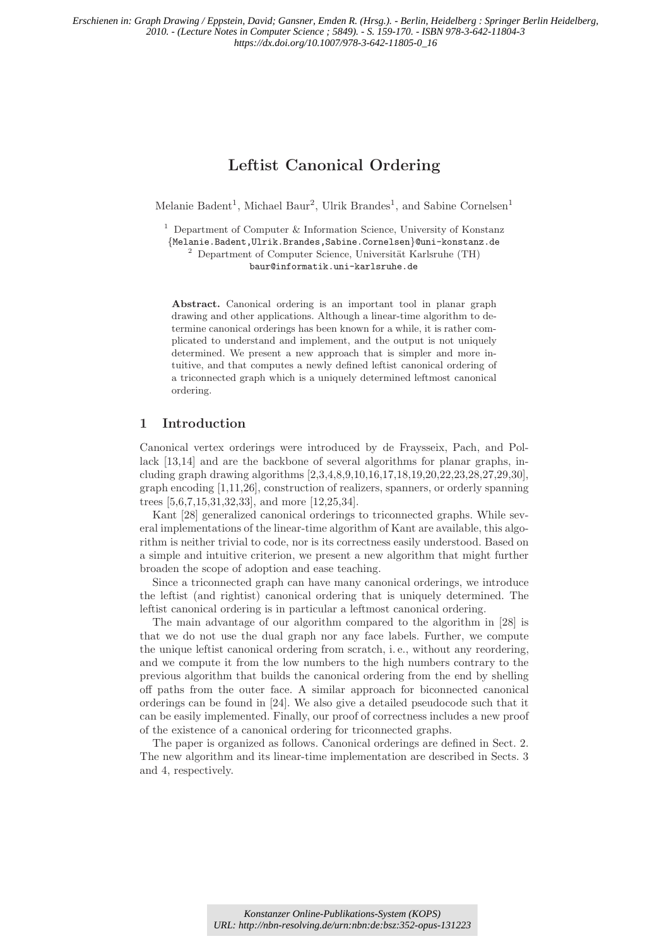*Erschienen in: Graph Drawing / Eppstein, David; Gansner, Emden R. (Hrsg.). - Berlin, Heidelberg : Springer Berlin Heidelberg, 2010. - (Lecture Notes in Computer Science ; 5849). - S. 159-170. - ISBN 978-3-642-11804-3 https://dx.doi.org/10.1007/978-3-642-11805-0\_16*

# **Leftist Canonical Ordering**

Melanie Badent<sup>1</sup>, Michael Baur<sup>2</sup>, Ulrik Brandes<sup>1</sup>, and Sabine Cornelsen<sup>1</sup>

<sup>1</sup> Department of Computer & Information Science, University of Konstanz

{Melanie.Badent,Ulrik.Brandes,Sabine.Cornelsen}@uni-konstanz.de <sup>2</sup> Department of Computer Science, Universit¨at Karlsruhe (TH)

baur@informatik.uni-karlsruhe.de

**Abstract.** Canonical ordering is an important tool in planar graph drawing and other applications. Although a linear-time algorithm to determine canonical orderings has been known for a while, it is rather complicated to understand and implement, and the output is not uniquely determined. We present a new approach that is simpler and more intuitive, and that computes a newly defined leftist canonical ordering of a triconnected graph which is a uniquely determined leftmost canonical ordering.

# **1 Introduction**

Canonical vertex orderings were introduced by de Fraysseix, Pach, and Pollack [13,14] and are the backbone of several algorithms for planar graphs, including graph drawing algorithms [2,3,4,8,9,10,16,17,18,19,20,22,23,28,27,29,30], graph encoding [1,11,26], construction of realizers, spanners, or orderly spanning trees [5,6,7,15,31,32,33], and more [12,25,34].

Kant [28] generalized canonical orderings to triconnected graphs. While several implementations of the linear-time algorithm of Kant are available, this algorithm is neither trivial to code, nor is its correctness easily understood. Based on a simple and intuitive criterion, we present a new algorithm that might further broaden the scope of adoption and ease teaching.

Since a triconnected graph can have many canonical orderings, we introduce the leftist (and rightist) canonical ordering that is uniquely determined. The leftist canonical ordering is in particular a leftmost canonical ordering.

The main advantage of our algorithm compared to the algorithm in [28] is that we do not use the dual graph nor any face labels. Further, we compute the unique leftist canonical ordering from scratch, i. e., without any reordering, and we compute it from the low numbers to the high numbers contrary to the previous algorithm that builds the canonical ordering from the end by shelling off paths from the outer face. A similar approach for biconnected canonical orderings can be found in [24]. We also give a detailed pseudocode such that it can be easily implemented. Finally, our proof of correctness includes a new proof of the existence of a canonical ordering for triconnected graphs.

The paper is organized as follows. Canonical orderings are defined in Sect. 2. The new algorithm and its linear-time implementation are described in Sects. 3 and 4, respectively.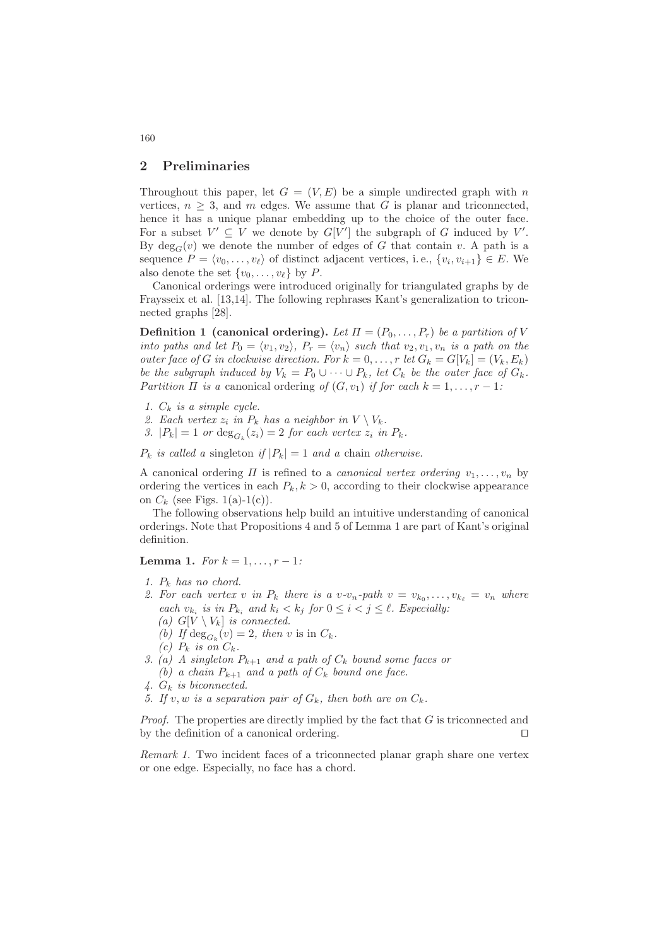### **2 Preliminaries**

Throughout this paper, let  $G = (V, E)$  be a simple undirected graph with n vertices,  $n > 3$ , and m edges. We assume that G is planar and triconnected, hence it has a unique planar embedding up to the choice of the outer face. For a subset  $V' \subseteq V$  we denote by  $G[V']$  the subgraph of G induced by  $V'$ . By  $deg_G(v)$  we denote the number of edges of G that contain v. A path is a sequence  $P = \langle v_0, \ldots, v_\ell \rangle$  of distinct adjacent vertices, i.e.,  $\{v_i, v_{i+1}\} \in E$ . We also denote the set  $\{v_0, \ldots, v_\ell\}$  by  $P$ .

Canonical orderings were introduced originally for triangulated graphs by de Fraysseix et al. [13,14]. The following rephrases Kant's generalization to triconnected graphs [28].

**Definition 1 (canonical ordering).** Let  $\Pi = (P_0, \ldots, P_r)$  be a partition of V *into paths and let*  $P_0 = \langle v_1, v_2 \rangle$ ,  $P_r = \langle v_n \rangle$  *such that*  $v_2, v_1, v_n$  *is a path on the outer face of* G *in clockwise direction. For*  $k = 0, \ldots, r$  *let*  $G_k = G[V_k] = (V_k, E_k)$ *be the subgraph induced by*  $V_k = P_0 \cup \cdots \cup P_k$ *, let*  $C_k$  *be the outer face of*  $G_k$ *. Partition*  $\Pi$  *is a* canonical ordering *of*  $(G, v_1)$  *if for each*  $k = 1, ..., r - 1$ *:* 

- *1.* C<sup>k</sup> *is a simple cycle.*
- 2. Each vertex  $z_i$  *in*  $P_k$  *has a neighbor in*  $V \setminus V_k$ .
- 3.  $|P_k| = 1$  *or*  $\deg_{G_k}(z_i) = 2$  *for each vertex*  $z_i$  *in*  $P_k$ *.*

 $P_k$  *is called a* singleton *if*  $|P_k| = 1$  *and a* chain *otherwise.* 

A canonical ordering  $\Pi$  is refined to a *canonical vertex ordering*  $v_1, \ldots, v_n$  by ordering the vertices in each  $P_k, k > 0$ , according to their clockwise appearance on  $C_k$  (see Figs. 1(a)-1(c)).

The following observations help build an intuitive understanding of canonical orderings. Note that Propositions 4 and 5 of Lemma 1 are part of Kant's original definition.

**Lemma 1.** *For*  $k = 1, ..., r - 1$ *:* 

- 1.  $P_k$  *has no chord.*
- 2. For each vertex v in  $P_k$  there is a v-v<sub>n</sub>-path  $v = v_{k_0}, \ldots, v_{k_\ell} = v_n$  where *each*  $v_k$ , *is in*  $P_{k_i}$  *and*  $k_i < k_j$  *for*  $0 \leq i < j \leq \ell$ *. Especially: (a)*  $G[V \setminus V_k]$  *is connected.* 
	-
	- *(b)* If  $deg_{G_k}(v)=2$ *, then v* is in  $C_k$ *.*
	- $(c)$   $P_k$  *is on*  $C_k$ .
- *3.* (a) A singleton  $P_{k+1}$  and a path of  $C_k$  bound some faces or (b) a chain  $P_{k+1}$  and a path of  $C_k$  bound one face.
- *4.* G<sup>k</sup> *is biconnected.*
- *5. If* v, w *is a separation pair of*  $G_k$ , then both are on  $C_k$ .

*Proof.* The properties are directly implied by the fact that G is triconnected and by the definition of a canonical ordering.  $\Box$ 

*Remark 1.* Two incident faces of a triconnected planar graph share one vertex or one edge. Especially, no face has a chord.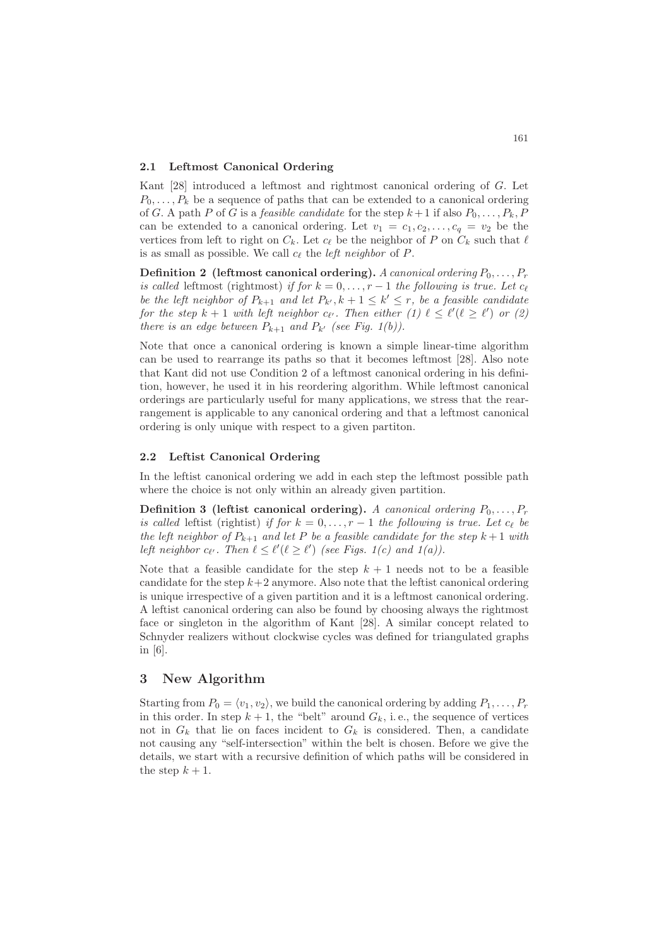#### **2.1 Leftmost Canonical Ordering**

Kant [28] introduced a leftmost and rightmost canonical ordering of G. Let  $P_0, \ldots, P_k$  be a sequence of paths that can be extended to a canonical ordering of G. A path P of G is a *feasible candidate* for the step  $k+1$  if also  $P_0, \ldots, P_k, P$ can be extended to a canonical ordering. Let  $v_1 = c_1, c_2, \ldots, c_q = v_2$  be the vertices from left to right on  $C_k$ . Let  $c_{\ell}$  be the neighbor of P on  $C_k$  such that  $\ell$ is as small as possible. We call  $c_{\ell}$  the *left neighbor* of  $P$ .

**Definition 2** (leftmost canonical ordering). *A canonical ordering*  $P_0, \ldots, P_r$ *is called* leftmost (rightmost) *if for*  $k = 0, \ldots, r - 1$  *the following is true. Let*  $c_{\ell}$ *be the left neighbor of*  $P_{k+1}$  *and let*  $P_{k'}, k+1 \leq k' \leq r$ , *be a feasible candidate* for the step  $k + 1$  with left neighbor  $c_{\ell'}$ . Then either (1)  $\ell \leq \ell'(\ell \geq \ell')$  or (2) *there is an edge between*  $P_{k+1}$  *and*  $P_{k'}$  (see Fig. 1(b)).

Note that once a canonical ordering is known a simple linear-time algorithm can be used to rearrange its paths so that it becomes leftmost [28]. Also note that Kant did not use Condition 2 of a leftmost canonical ordering in his definition, however, he used it in his reordering algorithm. While leftmost canonical orderings are particularly useful for many applications, we stress that the rearrangement is applicable to any canonical ordering and that a leftmost canonical ordering is only unique with respect to a given partiton.

#### **2.2 Leftist Canonical Ordering**

In the leftist canonical ordering we add in each step the leftmost possible path where the choice is not only within an already given partition.

**Definition 3 (leftist canonical ordering).** *A canonical ordering*  $P_0, \ldots, P_r$ *is called* leftist (rightist) *if for*  $k = 0, \ldots, r - 1$  *the following is true. Let*  $c_{\ell}$  *be the left neighbor of*  $P_{k+1}$  *and let* P *be a feasible candidate for the step*  $k+1$  *with* left neighbor  $c_{\ell'}$ . Then  $\ell \leq \ell'(\ell \geq \ell')$  (see Figs. 1(c) and 1(a)).

Note that a feasible candidate for the step  $k + 1$  needs not to be a feasible candidate for the step  $k+2$  anymore. Also note that the leftist canonical ordering is unique irrespective of a given partition and it is a leftmost canonical ordering. A leftist canonical ordering can also be found by choosing always the rightmost face or singleton in the algorithm of Kant [28]. A similar concept related to Schnyder realizers without clockwise cycles was defined for triangulated graphs in [6].

# **3 New Algorithm**

Starting from  $P_0 = \langle v_1, v_2 \rangle$ , we build the canonical ordering by adding  $P_1, \ldots, P_r$ in this order. In step  $k + 1$ , the "belt" around  $G_k$ , i.e., the sequence of vertices not in  $G_k$  that lie on faces incident to  $G_k$  is considered. Then, a candidate not causing any "self-intersection" within the belt is chosen. Before we give the details, we start with a recursive definition of which paths will be considered in the step  $k + 1$ .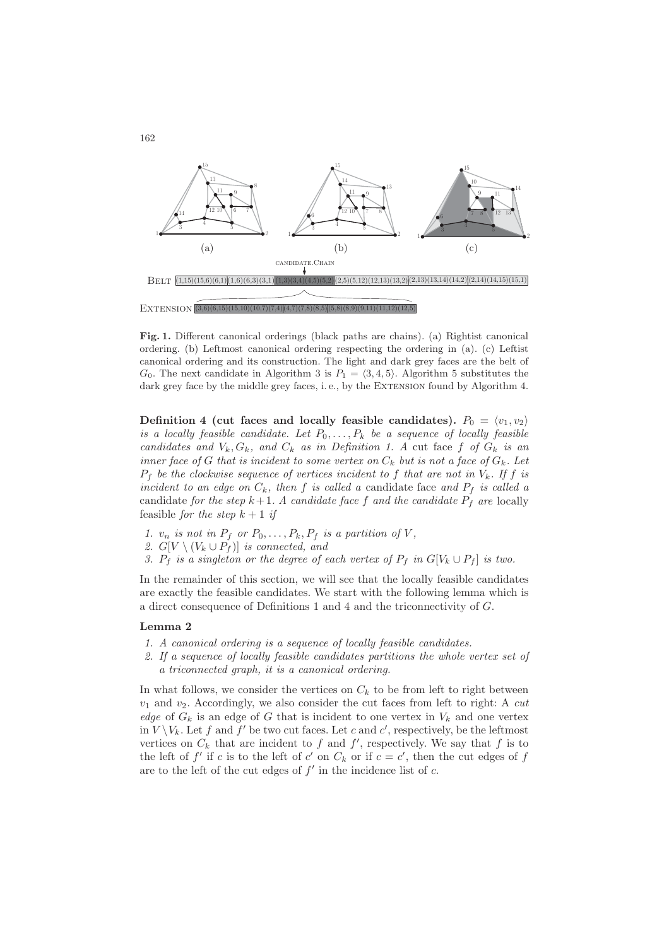

**Fig. 1.** Different canonical orderings (black paths are chains). (a) Rightist canonical ordering. (b) Leftmost canonical ordering respecting the ordering in (a). (c) Leftist canonical ordering and its construction. The light and dark grey faces are the belt of  $G_0$ . The next candidate in Algorithm 3 is  $P_1 = \langle 3, 4, 5 \rangle$ . Algorithm 5 substitutes the dark grey face by the middle grey faces, i.e., by the EXTENSION found by Algorithm 4.

**Definition 4 (cut faces and locally feasible candidates).**  $P_0 = \langle v_1, v_2 \rangle$ *is a locally feasible candidate. Let*  $P_0, \ldots, P_k$  *be a sequence of locally feasible candidates and*  $V_k$ ,  $G_k$ , and  $C_k$  as in Definition 1. A cut face f of  $G_k$  is an *inner face of* G *that is incident to some vertex on*  $C_k$  *but is not a face of*  $G_k$ *. Let*  $P_f$  *be the clockwise sequence of vertices incident to* f *that are not in*  $V_k$ *. If* f *is incident to an edge on*  $C_k$ , then f *is called a* candidate face and  $P_f$  *is called a* candidate for the step  $k+1$ . A candidate face f and the candidate  $P_f$  are locally feasible *for the step*  $k + 1$  *if* 

- *1.*  $v_n$  *is not in*  $P_f$  *or*  $P_0, \ldots, P_k, P_f$  *is a partition of*  $V$ *,*
- 2.  $G[V \setminus (V_k \cup P_f)]$  *is connected, and*
- *3.*  $P_f$  *is a singleton or the degree of each vertex of*  $P_f$  *in*  $G[V_k \cup P_f]$  *is two.*

In the remainder of this section, we will see that the locally feasible candidates are exactly the feasible candidates. We start with the following lemma which is a direct consequence of Definitions 1 and 4 and the triconnectivity of G.

#### **Lemma 2**

- *1. A canonical ordering is a sequence of locally feasible candidates.*
- *2. If a sequence of locally feasible candidates partitions the whole vertex set of a triconnected graph, it is a canonical ordering.*

In what follows, we consider the vertices on  $C_k$  to be from left to right between v<sup>1</sup> and v2. Accordingly, we also consider the cut faces from left to right: A *cut edge* of  $G_k$  is an edge of G that is incident to one vertex in  $V_k$  and one vertex in  $V \setminus V_k$ . Let f and f' be two cut faces. Let c and c', respectively, be the leftmost vertices on  $C_k$  that are incident to f and f', respectively. We say that f is to the left of  $f'$  if c is to the left of  $c'$  on  $C_k$  or if  $c = c'$ , then the cut edges of  $f$ are to the left of the cut edges of  $f'$  in the incidence list of  $c$ .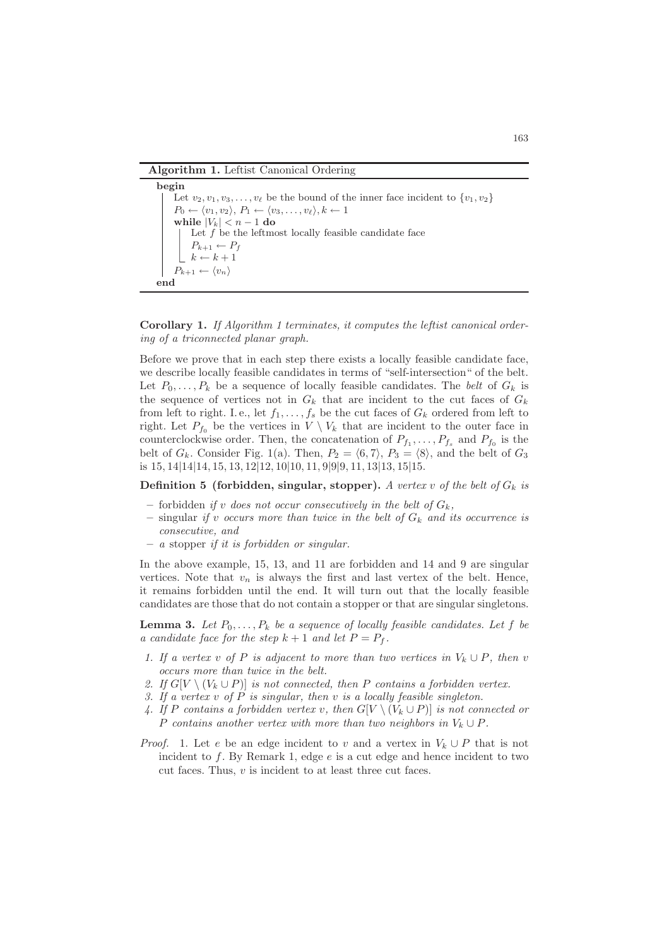```
begin
      Let v_2, v_1, v_3, \ldots, v_\ell be the bound of the inner face incident to \{v_1, v_2\}P_0 \leftarrow \langle v_1, v_2 \rangle, P_1 \leftarrow \langle v_3, \ldots, v_\ell \rangle, k \leftarrow 1while |V_k| < n - 1 do
           Let \boldsymbol{f} be the leftmost locally feasible candidate face
            P_{k+1} \leftarrow P_fk \leftarrow k + 1P_{k+1} \leftarrow \langle v_n \rangleend
```
**Corollary 1.** *If Algorithm 1 terminates, it computes the leftist canonical ordering of a triconnected planar graph.*

Before we prove that in each step there exists a locally feasible candidate face, we describe locally feasible candidates in terms of "self-intersection" of the belt. Let  $P_0, \ldots, P_k$  be a sequence of locally feasible candidates. The *belt* of  $G_k$  is the sequence of vertices not in  $G_k$  that are incident to the cut faces of  $G_k$ from left to right. I.e., let  $f_1, \ldots, f_s$  be the cut faces of  $G_k$  ordered from left to right. Let  $P_{f_0}$  be the vertices in  $V \setminus V_k$  that are incident to the outer face in counterclockwise order. Then, the concatenation of  $P_{f_1}, \ldots, P_{f_s}$  and  $P_{f_0}$  is the belt of  $G_k$ . Consider Fig. 1(a). Then,  $P_2 = \langle 6, 7 \rangle$ ,  $P_3 = \langle 8 \rangle$ , and the belt of  $G_3$ is 15, 14|14|14, 15, 13, 12|12, 10|10, 11, 9|9|9, 11, 13|13, 15|15.

**Definition 5 (forbidden, singular, stopper).** *A vertex* v of the belt of  $G_k$  is

- $-$  forbidden *if* v *does not occur consecutively in the belt of*  $G_k$ *,*
- $-$  singular *if* v *occurs* more than twice in the belt of  $G_k$  and its occurrence is *consecutive, and*
- **–** *a* stopper *if it is forbidden or singular.*

In the above example, 15, 13, and 11 are forbidden and 14 and 9 are singular vertices. Note that  $v_n$  is always the first and last vertex of the belt. Hence, it remains forbidden until the end. It will turn out that the locally feasible candidates are those that do not contain a stopper or that are singular singletons.

**Lemma 3.** Let  $P_0, \ldots, P_k$  be a sequence of locally feasible candidates. Let f be *a candidate face for the step*  $k + 1$  *and let*  $P = P_f$ .

- *1. If a vertex* v of P *is adjacent to more than two vertices in*  $V_k \cup P$ *, then* v *occurs more than twice in the belt.*
- *2. If*  $G[V \setminus (V_k ∪ P)]$  *is not connected, then P contains a forbidden vertex.*
- *3. If a vertex* v *of* P *is singular, then* v *is a locally feasible singleton.*
- *4. If* P contains a forbidden vertex v, then  $G[V \setminus (V_k \cup P)]$  is not connected or P *contains another vertex with more than two neighbors in*  $V_k \cup P$ *.*
- *Proof.* 1. Let e be an edge incident to v and a vertex in  $V_k \cup P$  that is not incident to f. By Remark 1, edge  $e$  is a cut edge and hence incident to two cut faces. Thus,  $v$  is incident to at least three cut faces.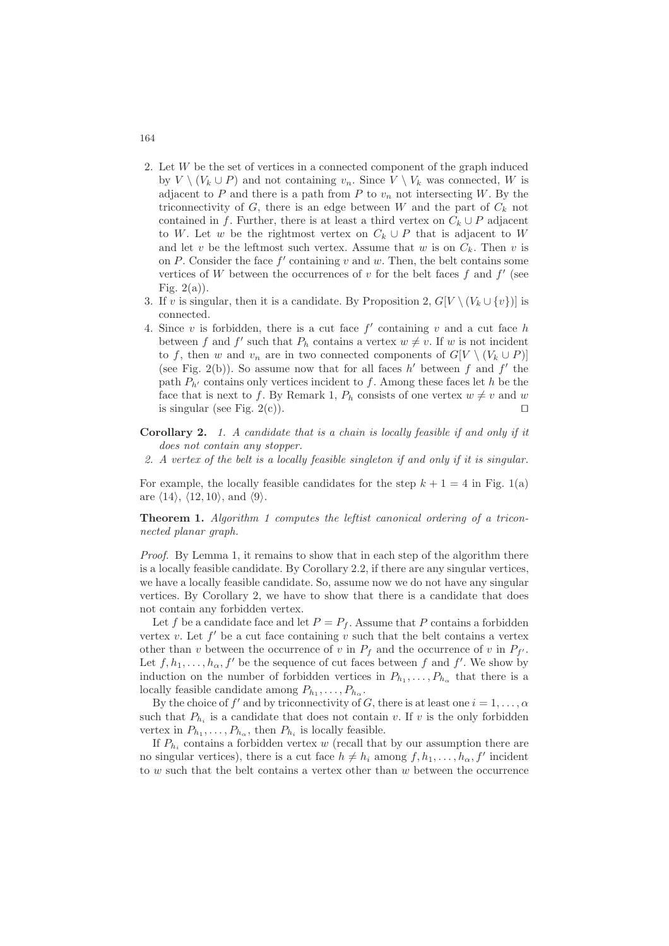- 2. Let W be the set of vertices in a connected component of the graph induced by  $V \setminus (V_k \cup P)$  and not containing  $v_n$ . Since  $V \setminus V_k$  was connected, W is adjacent to P and there is a path from P to  $v_n$  not intersecting W. By the triconnectivity of G, there is an edge between W and the part of  $C_k$  not contained in f. Further, there is at least a third vertex on  $C_k \cup P$  adjacent to W. Let w be the rightmost vertex on  $C_k \cup P$  that is adjacent to W and let v be the leftmost such vertex. Assume that w is on  $C_k$ . Then v is on P. Consider the face  $f'$  containing v and w. Then, the belt contains some vertices of W between the occurrences of v for the belt faces f and  $f'$  (see Fig.  $2(a)$ ).
- 3. If v is singular, then it is a candidate. By Proposition 2,  $G[V \setminus (V_k \cup \{v\})]$  is connected.
- 4. Since v is forbidden, there is a cut face  $f'$  containing v and a cut face h between f and f' such that  $P_h$  contains a vertex  $w \neq v$ . If w is not incident to f, then w and  $v_n$  are in two connected components of  $G[V \setminus (V_k \cup P)]$ (see Fig. 2(b)). So assume now that for all faces h' between f and f' the path  $P_{h'}$  contains only vertices incident to f. Among these faces let h be the face that is next to f. By Remark 1,  $P_h$  consists of one vertex  $w \neq v$  and w is singular (see Fig.  $2(c)$ ).  $\Box$

### **Corollary 2.** *1. A candidate that is a chain is locally feasible if and only if it does not contain any stopper.*

*2. A vertex of the belt is a locally feasible singleton if and only if it is singular.*

For example, the locally feasible candidates for the step  $k + 1 = 4$  in Fig. 1(a) are  $\langle 14 \rangle$ ,  $\langle 12, 10 \rangle$ , and  $\langle 9 \rangle$ .

**Theorem 1.** *Algorithm 1 computes the leftist canonical ordering of a triconnected planar graph.*

*Proof.* By Lemma 1, it remains to show that in each step of the algorithm there is a locally feasible candidate. By Corollary 2.2, if there are any singular vertices, we have a locally feasible candidate. So, assume now we do not have any singular vertices. By Corollary 2, we have to show that there is a candidate that does not contain any forbidden vertex.

Let f be a candidate face and let  $P = P_f$ . Assume that P contains a forbidden vertex v. Let  $f'$  be a cut face containing v such that the belt contains a vertex other than v between the occurrence of v in  $P_f$  and the occurrence of v in  $P_{f'}$ . Let  $f, h_1, \ldots, h_\alpha, f'$  be the sequence of cut faces between f and f'. We show by induction on the number of forbidden vertices in  $P_{h_1}, \ldots, P_{h_n}$  that there is a locally feasible candidate among  $P_{h_1}, \ldots, P_{h_\alpha}$ .

By the choice of  $f'$  and by triconnectivity of G, there is at least one  $i = 1, \ldots, \alpha$ such that  $P_{h_i}$  is a candidate that does not contain v. If v is the only forbidden vertex in  $P_{h_1}, \ldots, P_{h_\alpha}$ , then  $P_{h_i}$  is locally feasible.

If  $P_{h_i}$  contains a forbidden vertex w (recall that by our assumption there are no singular vertices), there is a cut face  $h \neq h_i$  among  $f, h_1, \ldots, h_\alpha, f'$  incident to  $w$  such that the belt contains a vertex other than  $w$  between the occurrence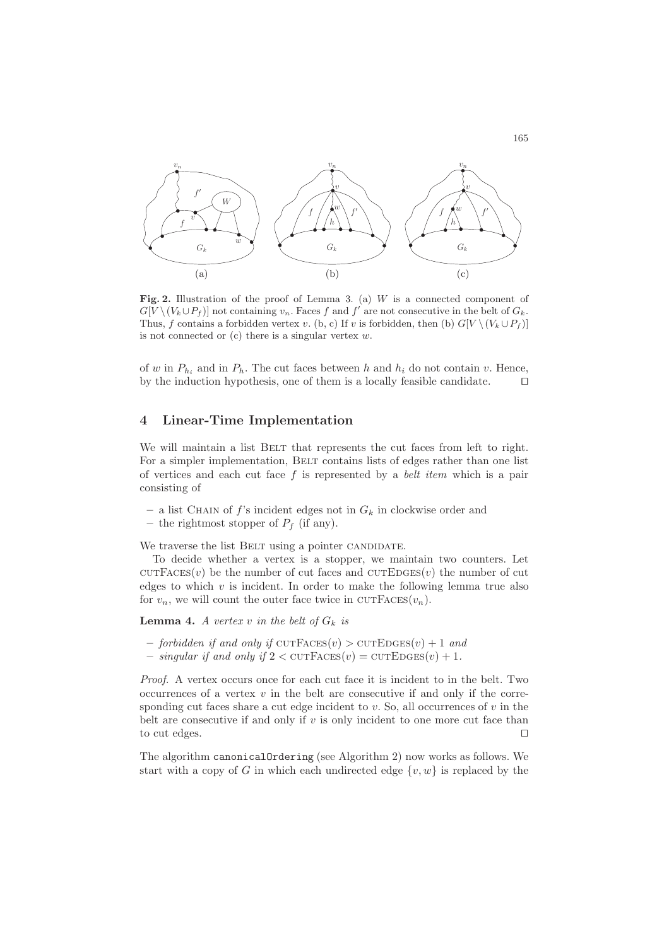

Fig. 2. Illustration of the proof of Lemma 3. (a) W is a connected component of  $G[V \setminus (V_k \cup P_f)]$  not containing  $v_n$ . Faces f and f' are not consecutive in the belt of  $G_k$ . Thus, f contains a forbidden vertex v. (b, c) If v is forbidden, then (b)  $G[V \setminus (V_k \cup P_f)]$ is not connected or  $(c)$  there is a singular vertex  $w$ .

of w in  $P_{h_i}$  and in  $P_h$ . The cut faces between h and  $h_i$  do not contain v. Hence, by the induction hypothesis, one of them is a locally feasible candidate.  $\Box$ 

# **4 Linear-Time Implementation**

We will maintain a list BELT that represents the cut faces from left to right. For a simpler implementation, BELT contains lists of edges rather than one list of vertices and each cut face f is represented by a *belt item* which is a pair consisting of

- a list CHAIN of  $f$ 's incident edges not in  $G_k$  in clockwise order and
- the rightmost stopper of  $P_f$  (if any).

We traverse the list BELT using a pointer CANDIDATE.

To decide whether a vertex is a stopper, we maintain two counters. Let  $\text{cutFACES}(v)$  be the number of cut faces and  $\text{cutFAGES}(v)$  the number of cut edges to which  $v$  is incident. In order to make the following lemma true also for  $v_n$ , we will count the outer face twice in CUTFACES $(v_n)$ .

**Lemma 4.** *A vertex* v in the belt of  $G_k$  is

 $–$  *forbidden if and only if*  $\text{CUTFACES}(v) > \text{CUTEDGES}(v) + 1$  *and*  $-$  *singular if and only if*  $2 < \text{CUTFACES}(v) = \text{CUTEDGES}(v) + 1$ .

*Proof.* A vertex occurs once for each cut face it is incident to in the belt. Two occurrences of a vertex  $v$  in the belt are consecutive if and only if the corresponding cut faces share a cut edge incident to  $v$ . So, all occurrences of  $v$  in the belt are consecutive if and only if  $v$  is only incident to one more cut face than to cut edges.

The algorithm canonicalOrdering (see Algorithm 2) now works as follows. We start with a copy of G in which each undirected edge  $\{v, w\}$  is replaced by the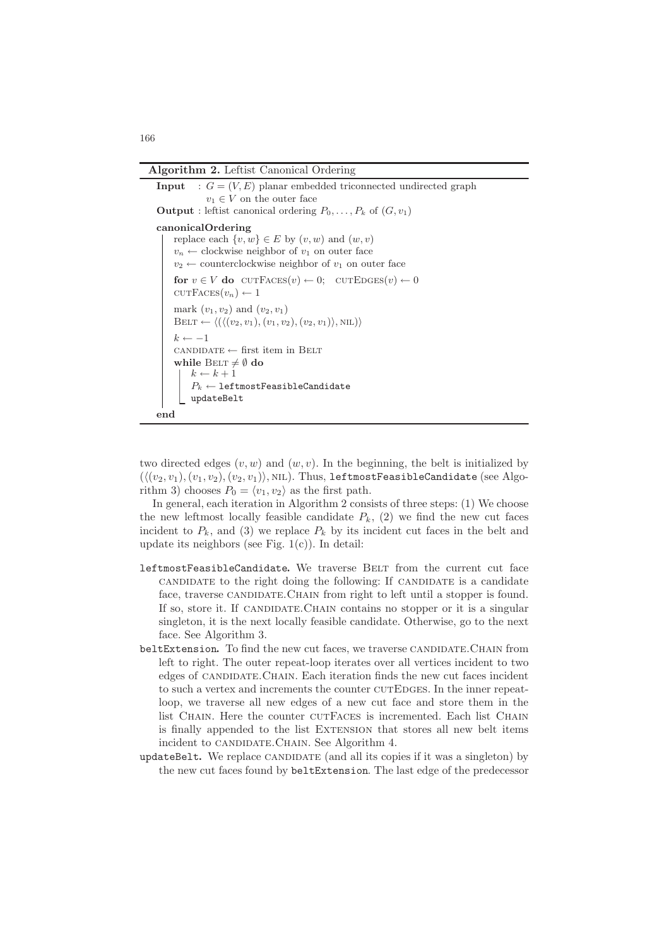#### **Algorithm 2.** Leftist Canonical Ordering

```
Input : G = (V, E) planar embedded triconnected undirected graph
              v_1 \in V on the outer face
Output : leftist canonical ordering P_0, \ldots, P_k of (G, v_1)canonicalOrdering
     replace each \{v, w\} \in E by (v, w) and (w, v)v_n \leftarrow clockwise neighbor of v_1 on outer face
     v_2 \leftarrow counterclockwise neighbor of v_1 on outer face
     for v \in V do \text{CUTFACES}(v) \leftarrow 0; \text{CUTEDGES}(v) \leftarrow 0\text{cutFACES}(v_n) \leftarrow 1mark (v_1, v_2) and (v_2, v_1)\text{BELT} \leftarrow \langle (\langle (v_2, v_1), (v_1, v_2), (v_2, v_1) \rangle, \text{NIL}) \ranglek \leftarrow -1<code>candidate ← first</code> item in BELT
     while BELT \neq \emptyset do
         k \leftarrow k + 1P_k \leftarrow \texttt{leftmostFeasibleC}andidate
         updateBelt
end
```
two directed edges  $(v, w)$  and  $(w, v)$ . In the beginning, the belt is initialized by  $(\langle (v_2, v_1), (v_1, v_2), (v_2, v_1) \rangle$ , NIL). Thus, leftmostFeasibleCandidate (see Algorithm 3) chooses  $P_0 = \langle v_1, v_2 \rangle$  as the first path.

In general, each iteration in Algorithm 2 consists of three steps: (1) We choose the new leftmost locally feasible candidate  $P_k$ , (2) we find the new cut faces incident to  $P_k$ , and (3) we replace  $P_k$  by its incident cut faces in the belt and update its neighbors (see Fig.  $1(c)$ ). In detail:

- leftmostFeasibleCandidate**.** We traverse Belt from the current cut face candidate can be right doing the following: If CANDIDATE is a candidate face, traverse CANDIDATE. CHAIN from right to left until a stopper is found. If so, store it. If CANDIDATE. CHAIN contains no stopper or it is a singular singleton, it is the next locally feasible candidate. Otherwise, go to the next face. See Algorithm 3.
- beltExtension. To find the new cut faces, we traverse CANDIDATE. CHAIN from left to right. The outer repeat-loop iterates over all vertices incident to two edges of CANDIDATE. CHAIN. Each iteration finds the new cut faces incident to such a vertex and increments the counter CUTEDGES. In the inner repeatloop, we traverse all new edges of a new cut face and store them in the list CHAIN. Here the counter CUTFACES is incremented. Each list CHAIN is finally appended to the list EXTENSION that stores all new belt items incident to CANDIDATE. CHAIN. See Algorithm 4.
- updateBelt. We replace CANDIDATE (and all its copies if it was a singleton) by the new cut faces found by beltExtension. The last edge of the predecessor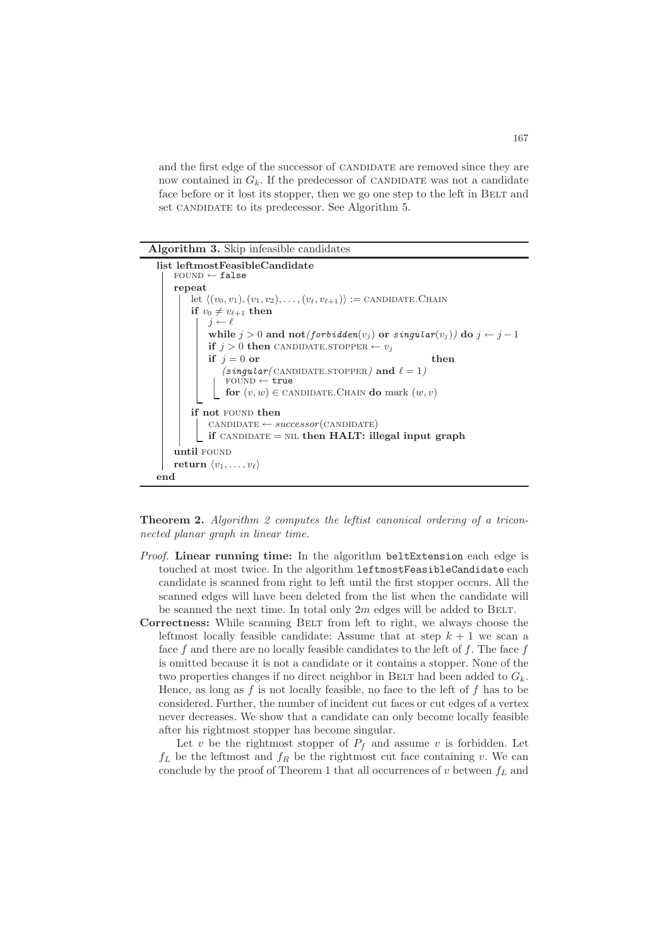and the first edge of the successor of CANDIDATE are removed since they are now contained in  $G_k$ . If the predecessor of CANDIDATE was not a candidate face before or it lost its stopper, then we go one step to the left in BELT and set CANDIDATE to its predecessor. See Algorithm 5.

### **Algorithm 3.** Skip infeasible candidates



**Theorem 2.** *Algorithm 2 computes the leftist canonical ordering of a triconnected planar graph in linear time.*

- *Proof.* **Linear running time:** In the algorithm beltExtension each edge is touched at most twice. In the algorithm leftmostFeasibleCandidate each candidate is scanned from right to left until the first stopper occurs. All the scanned edges will have been deleted from the list when the candidate will be scanned the next time. In total only  $2m$  edges will be added to BELT.
- **Correctness:** While scanning BELT from left to right, we always choose the leftmost locally feasible candidate: Assume that at step  $k + 1$  we scan a face f and there are no locally feasible candidates to the left of f. The face f is omitted because it is not a candidate or it contains a stopper. None of the two properties changes if no direct neighbor in BELT had been added to  $G_k$ . Hence, as long as f is not locally feasible, no face to the left of f has to be considered. Further, the number of incident cut faces or cut edges of a vertex never decreases. We show that a candidate can only become locally feasible after his rightmost stopper has become singular.

Let v be the rightmost stopper of  $P_f$  and assume v is forbidden. Let  $f_L$  be the leftmost and  $f_R$  be the rightmost cut face containing v. We can conclude by the proof of Theorem 1 that all occurrences of  $v$  between  $f_L$  and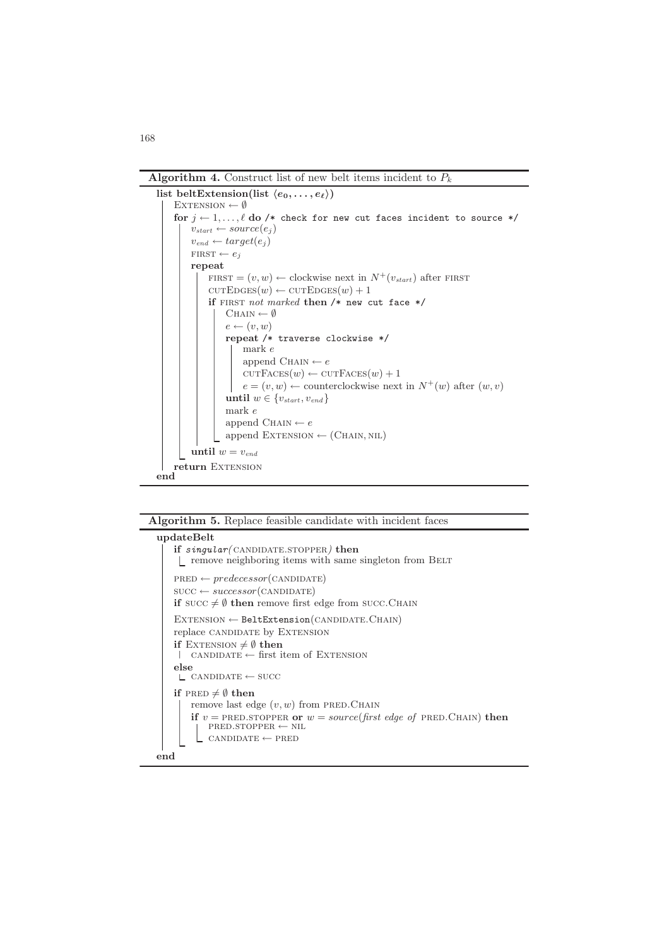**Algorithm 4.** Construct list of new belt items incident to  $P_k$ 



### **Algorithm 5.** Replace feasible candidate with incident faces

```
updateBelt
    if sinaular(CANDIDATE.STOPPER) then
     \mathrel{\sqsubset} remove neighboring items with same singleton from BELT
    PRED \leftarrow predecessor(CANDIDATE)\text{SUCC} \leftarrow successor(\text{CANDIDATE})if succ \neq \emptyset then remove first edge from succ.CHAIN
    \textsc{EXT}ENSION ← BeltExtension(CANDIDATE.CHAIN)
    replace CANDIDATE by EXTENSION
    if EXTENSION \neq \emptyset then
    \Box CANDIDATE ← first item of EXTENSION
    else
     L CANDIDATE ← SUCC
    if PRED \neq \emptyset then
        remove last edge (v, w) from PRED. CHAIN
        if v = PRED.STOPPER or w = source(first\ edge\ of\ PRED.CHAIN) then
            \texttt{PRED}. \texttt{STOPPER} \leftarrow \texttt{NIL}C CANDIDATE ← PRED
end
```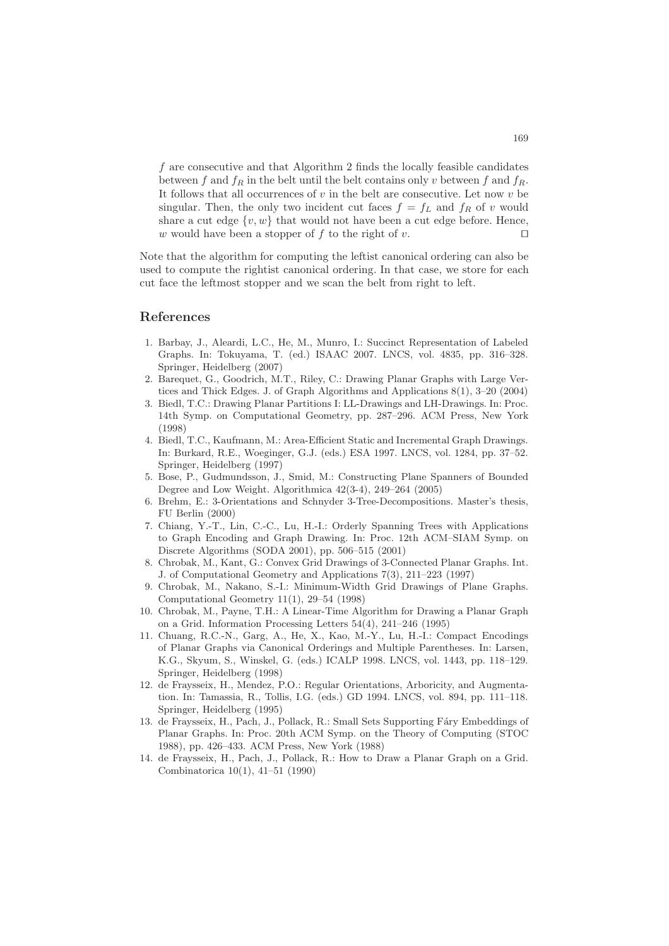f are consecutive and that Algorithm 2 finds the locally feasible candidates between f and  $f_R$  in the belt until the belt contains only v between f and  $f_R$ . It follows that all occurrences of  $v$  in the belt are consecutive. Let now  $v$  be singular. Then, the only two incident cut faces  $f = f<sub>L</sub>$  and  $f<sub>R</sub>$  of v would share a cut edge  $\{v, w\}$  that would not have been a cut edge before. Hence, <br>w would have been a stopper of f to the right of v w would have been a stopper of  $f$  to the right of  $v$ .

Note that the algorithm for computing the leftist canonical ordering can also be used to compute the rightist canonical ordering. In that case, we store for each cut face the leftmost stopper and we scan the belt from right to left.

## **References**

- 1. Barbay, J., Aleardi, L.C., He, M., Munro, I.: Succinct Representation of Labeled Graphs. In: Tokuyama, T. (ed.) ISAAC 2007. LNCS, vol. 4835, pp. 316–328. Springer, Heidelberg (2007)
- 2. Barequet, G., Goodrich, M.T., Riley, C.: Drawing Planar Graphs with Large Vertices and Thick Edges. J. of Graph Algorithms and Applications 8(1), 3–20 (2004)
- 3. Biedl, T.C.: Drawing Planar Partitions I: LL-Drawings and LH-Drawings. In: Proc. 14th Symp. on Computational Geometry, pp. 287–296. ACM Press, New York (1998)
- 4. Biedl, T.C., Kaufmann, M.: Area-Efficient Static and Incremental Graph Drawings. In: Burkard, R.E., Woeginger, G.J. (eds.) ESA 1997. LNCS, vol. 1284, pp. 37–52. Springer, Heidelberg (1997)
- 5. Bose, P., Gudmundsson, J., Smid, M.: Constructing Plane Spanners of Bounded Degree and Low Weight. Algorithmica 42(3-4), 249–264 (2005)
- 6. Brehm, E.: 3-Orientations and Schnyder 3-Tree-Decompositions. Master's thesis, FU Berlin (2000)
- 7. Chiang, Y.-T., Lin, C.-C., Lu, H.-I.: Orderly Spanning Trees with Applications to Graph Encoding and Graph Drawing. In: Proc. 12th ACM–SIAM Symp. on Discrete Algorithms (SODA 2001), pp. 506–515 (2001)
- 8. Chrobak, M., Kant, G.: Convex Grid Drawings of 3-Connected Planar Graphs. Int. J. of Computational Geometry and Applications 7(3), 211–223 (1997)
- 9. Chrobak, M., Nakano, S.-I.: Minimum-Width Grid Drawings of Plane Graphs. Computational Geometry 11(1), 29–54 (1998)
- 10. Chrobak, M., Payne, T.H.: A Linear-Time Algorithm for Drawing a Planar Graph on a Grid. Information Processing Letters 54(4), 241–246 (1995)
- 11. Chuang, R.C.-N., Garg, A., He, X., Kao, M.-Y., Lu, H.-I.: Compact Encodings of Planar Graphs via Canonical Orderings and Multiple Parentheses. In: Larsen, K.G., Skyum, S., Winskel, G. (eds.) ICALP 1998. LNCS, vol. 1443, pp. 118–129. Springer, Heidelberg (1998)
- 12. de Fraysseix, H., Mendez, P.O.: Regular Orientations, Arboricity, and Augmentation. In: Tamassia, R., Tollis, I.G. (eds.) GD 1994. LNCS, vol. 894, pp. 111–118. Springer, Heidelberg (1995)
- 13. de Fraysseix, H., Pach, J., Pollack, R.: Small Sets Supporting F´ary Embeddings of Planar Graphs. In: Proc. 20th ACM Symp. on the Theory of Computing (STOC 1988), pp. 426–433. ACM Press, New York (1988)
- 14. de Fraysseix, H., Pach, J., Pollack, R.: How to Draw a Planar Graph on a Grid. Combinatorica 10(1), 41–51 (1990)